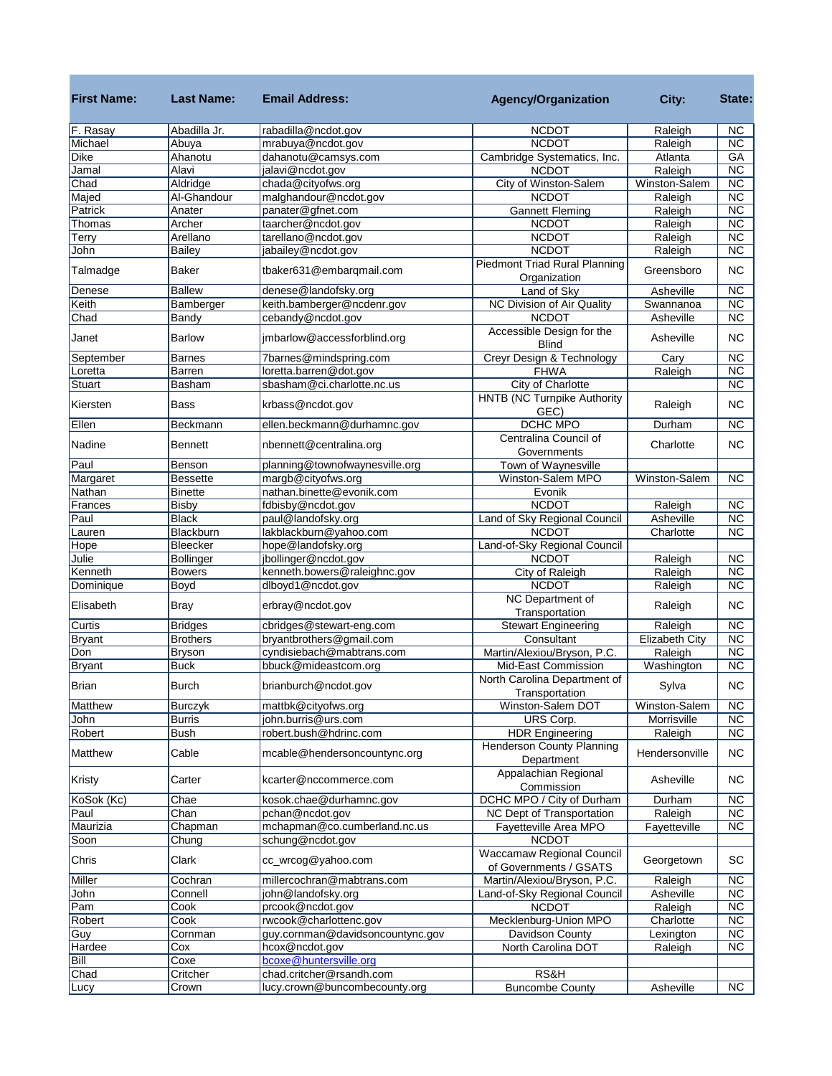| <b>First Name:</b> | <b>Last Name:</b> | <b>Email Address:</b>            | <b>Agency/Organization</b>                           | City:          | State:                 |
|--------------------|-------------------|----------------------------------|------------------------------------------------------|----------------|------------------------|
| F. Rasay           | Abadilla Jr.      | rabadilla@ncdot.gov              | <b>NCDOT</b>                                         | Raleigh        | <b>NC</b>              |
| Michael            | Abuya             | mrabuya@ncdot.gov                | <b>NCDOT</b>                                         | Raleigh        | $\overline{\text{NC}}$ |
| <b>Dike</b>        | Ahanotu           | dahanotu@camsys.com              | Cambridge Systematics, Inc.                          | Atlanta        | GA                     |
| Jamal              | Alavi             | jalavi@ncdot.gov                 | <b>NCDOT</b>                                         | Raleigh        | $\overline{\text{NC}}$ |
| Chad               | Aldridge          | chada@cityofws.org               | City of Winston-Salem                                | Winston-Salem  | $\overline{\text{NC}}$ |
| Majed              | Al-Ghandour       | malghandour@ncdot.gov            | <b>NCDOT</b>                                         | Raleigh        | <b>NC</b>              |
| Patrick            | Anater            | panater@gfnet.com                | <b>Gannett Fleming</b>                               | Raleigh        | <b>NC</b>              |
| Thomas             | Archer            | taarcher@ncdot.gov               | <b>NCDOT</b>                                         | Raleigh        | $\overline{\text{NC}}$ |
| Terry              | Arellano          | tarellano@ncdot.gov              | <b>NCDOT</b>                                         | Raleigh        | $\overline{NC}$        |
| John               | <b>Bailey</b>     | jabailey@ncdot.gov               | <b>NCDOT</b>                                         | Raleigh        | <b>NC</b>              |
| Talmadge           | <b>Baker</b>      | tbaker631@embarqmail.com         | <b>Piedmont Triad Rural Planning</b><br>Organization | Greensboro     | <b>NC</b>              |
| Denese             | <b>Ballew</b>     | denese@landofsky.org             | Land of Sky                                          | Asheville      | <b>NC</b>              |
| Keith              | Bamberger         | keith.bamberger@ncdenr.gov       | NC Division of Air Quality                           | Swannanoa      | $\overline{\text{NC}}$ |
| Chad               | Bandy             | cebandy@ncdot.gov                | <b>NCDOT</b>                                         | Asheville      | $\overline{\text{NC}}$ |
| Janet              | <b>Barlow</b>     | jmbarlow@accessforblind.org      | Accessible Design for the<br><b>Blind</b>            | Asheville      | <b>NC</b>              |
| September          | <b>Barnes</b>     | 7barnes@mindspring.com           | Creyr Design & Technology                            | Cary           | $\overline{\text{NC}}$ |
| Loretta            | Barren            | loretta.barren@dot.gov           | <b>FHWA</b>                                          | Raleigh        | <b>NC</b>              |
| <b>Stuart</b>      | Basham            | sbasham@ci.charlotte.nc.us       | City of Charlotte                                    |                | <b>NC</b>              |
| Kiersten           | <b>Bass</b>       | krbass@ncdot.gov                 | <b>HNTB (NC Turnpike Authority</b><br>GEC)           | Raleigh        | <b>NC</b>              |
| Ellen              | Beckmann          | ellen.beckmann@durhamnc.gov      | <b>DCHC MPO</b>                                      | Durham         | <b>NC</b>              |
| Nadine             | Bennett           | nbennett@centralina.org          | Centralina Council of<br>Governments                 | Charlotte      | <b>NC</b>              |
| Paul               | Benson            | planning@townofwaynesville.org   | Town of Waynesville                                  |                |                        |
| Margaret           | <b>Bessette</b>   | margb@cityofws.org               | Winston-Salem MPO                                    | Winston-Salem  | <b>NC</b>              |
| Nathan             | <b>Binette</b>    | nathan.binette@evonik.com        | Evonik                                               |                |                        |
| Frances            | <b>Bisby</b>      | fdbisby@ncdot.gov                | <b>NCDOT</b>                                         | Raleigh        | <b>NC</b>              |
| Paul               | <b>Black</b>      | paul@landofsky.org               | Land of Sky Regional Council                         | Asheville      | $\overline{\text{NC}}$ |
| Lauren             | Blackburn         | lakblackburn@yahoo.com           | <b>NCDOT</b>                                         | Charlotte      | $\overline{\text{NC}}$ |
| Hope               | Bleecker          | hope@landofsky.org               | Land-of-Sky Regional Council                         |                |                        |
| Julie              | <b>Bollinger</b>  | jbollinger@ncdot.gov             | <b>NCDOT</b>                                         | Raleigh        | <b>NC</b>              |
| Kenneth            | <b>Bowers</b>     | kenneth.bowers@raleighnc.gov     | City of Raleigh                                      | Raleigh        | $\overline{\text{NC}}$ |
| Dominique          | Boyd              | dlboyd1@ncdot.gov                | <b>NCDOT</b>                                         | Raleigh        | <b>NC</b>              |
| Elisabeth          | <b>Bray</b>       | erbray@ncdot.gov                 | <b>NC Department of</b><br>Transportation            | Raleigh        | <b>NC</b>              |
| Curtis             | <b>Bridges</b>    | cbridges@stewart-eng.com         | <b>Stewart Engineering</b>                           | Raleigh        | $\overline{\text{NC}}$ |
| <b>Bryant</b>      | <b>Brothers</b>   | bryantbrothers@gmail.com         | Consultant                                           | Elizabeth City | $\overline{\text{NC}}$ |
| Don                | <b>Bryson</b>     | cyndisiebach@mabtrans.com        | Martin/Alexiou/Bryson, P.C.                          | Raleigh        | $\overline{NC}$        |
| <b>Bryant</b>      | <b>Buck</b>       | bbuck@mideastcom.org             | Mid-East Commission                                  | Washington     | $\overline{\text{NC}}$ |
| <b>Brian</b>       | <b>Burch</b>      | brianburch@ncdot.gov             | North Carolina Department of<br>Transportation       | Sylva          | <b>NC</b>              |
| Matthew            | Burczyk           | mattbk@cityofws.org              | Winston-Salem DOT                                    | Winston-Salem  | <b>NC</b>              |
| John               | <b>Burris</b>     | john.burris@urs.com              | URS Corp.                                            | Morrisville    | NC                     |
| Robert             | <b>Bush</b>       | robert.bush@hdrinc.com           | <b>HDR Engineering</b>                               | Raleigh        | <b>NC</b>              |
| Matthew            | Cable             | mcable@hendersoncountync.org     | <b>Henderson County Planning</b><br>Department       | Hendersonville | <b>NC</b>              |
| Kristy             | Carter            | kcarter@nccommerce.com           | Appalachian Regional<br>Commission                   | Asheville      | <b>NC</b>              |
| KoSok (Kc)         | Chae              | kosok.chae@durhamnc.gov          | DCHC MPO / City of Durham                            | Durham         | <b>NC</b>              |
| Paul               | Chan              | pchan@ncdot.gov                  | NC Dept of Transportation                            | Raleigh        | <b>NC</b>              |
| Maurizia           | Chapman           | mchapman@co.cumberland.nc.us     | Fayetteville Area MPO                                | Fayetteville   | <b>NC</b>              |
| Soon               | Chung             | schung@ncdot.gov                 | <b>NCDOT</b>                                         |                |                        |
| Chris              | Clark             | cc_wrcog@yahoo.com               | Waccamaw Regional Council<br>of Governments / GSATS  | Georgetown     | SC                     |
| Miller             | Cochran           | millercochran@mabtrans.com       | Martin/Alexiou/Bryson, P.C.                          | Raleigh        | <b>NC</b>              |
| John               | Connell           | john@landofsky.org               | Land-of-Sky Regional Council                         | Asheville      | NC                     |
| Pam                | Cook              | prcook@ncdot.gov                 | <b>NCDOT</b>                                         | Raleigh        | <b>NC</b>              |
| Robert             | Cook              | rwcook@charlottenc.gov           | Mecklenburg-Union MPO                                | Charlotte      | <b>NC</b>              |
| Guy                | Cornman           | guy.cornman@davidsoncountync.gov | Davidson County                                      | Lexington      | NC                     |
| Hardee             | Cox               | hcox@ncdot.gov                   | North Carolina DOT                                   | Raleigh        | NC                     |
| Bill               | Coxe              | bcoxe@huntersville.org           |                                                      |                |                        |
| Chad               | Critcher          | chad.critcher@rsandh.com         | RS&H                                                 |                |                        |
| Lucy               | Crown             | lucy.crown@buncombecounty.org    | <b>Buncombe County</b>                               | Asheville      | <b>NC</b>              |

**Contract Contract**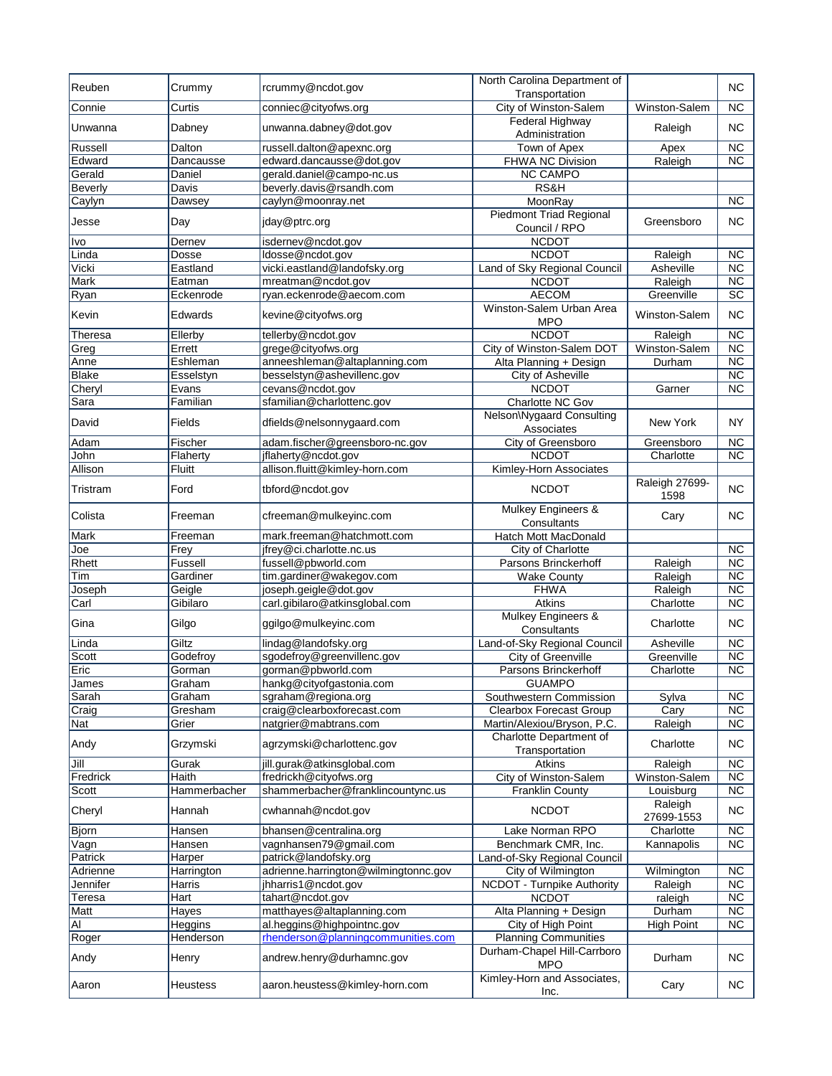| Reuben           | Crummy              | rcrummy@ncdot.gov                                     | North Carolina Department of<br>Transportation            |                        | <b>NC</b>                           |
|------------------|---------------------|-------------------------------------------------------|-----------------------------------------------------------|------------------------|-------------------------------------|
| Connie           | Curtis              | conniec@cityofws.org                                  | City of Winston-Salem                                     | Winston-Salem          | <b>NC</b>                           |
|                  |                     |                                                       | Federal Highway                                           |                        |                                     |
| Unwanna          | Dabney              | unwanna.dabney@dot.gov                                | Administration                                            | Raleigh                | <b>NC</b>                           |
| Russell          | Dalton              | russell.dalton@apexnc.org                             | Town of Apex                                              | Apex                   | $\overline{\text{NC}}$<br><b>NC</b> |
| Edward<br>Gerald | Dancausse<br>Daniel | edward.dancausse@dot.gov                              | <b>FHWA NC Division</b><br><b>NC CAMPO</b>                | Raleigh                |                                     |
| <b>Beverly</b>   | Davis               | gerald.daniel@campo-nc.us<br>beverly.davis@rsandh.com | RS&H                                                      |                        |                                     |
| Caylyn           | Dawsey              | caylyn@moonray.net                                    | MoonRay                                                   |                        | <b>NC</b>                           |
|                  |                     |                                                       | <b>Piedmont Triad Regional</b>                            |                        |                                     |
| Jesse            | Day                 | jday@ptrc.org                                         | Council / RPO                                             | Greensboro             | <b>NC</b>                           |
| Ivo              | Dernev              | isdernev@ncdot.gov                                    | <b>NCDOT</b>                                              |                        |                                     |
| Linda            | Dosse               | ldosse@ncdot.gov                                      | <b>NCDOT</b>                                              | Raleigh                | <b>NC</b>                           |
| Vicki            | Eastland            | vicki.eastland@landofsky.org                          | Land of Sky Regional Council                              | Asheville              | $\overline{\text{NC}}$              |
| Mark             | Eatman              | mreatman@ncdot.gov                                    | <b>NCDOT</b>                                              | Raleigh                | $\overline{\text{NC}}$              |
| Ryan             | Eckenrode           | ryan.eckenrode@aecom.com                              | <b>AECOM</b>                                              | Greenville             | $\overline{SC}$                     |
| Kevin            | Edwards             | kevine@cityofws.org                                   | Winston-Salem Urban Area<br><b>MPO</b>                    | Winston-Salem          | <b>NC</b>                           |
| Theresa          | Ellerby             | tellerby@ncdot.gov                                    | <b>NCDOT</b>                                              | Raleigh                | <b>NC</b>                           |
| Greg             | Errett              | grege@cityofws.org                                    | City of Winston-Salem DOT                                 | Winston-Salem          | $\overline{NC}$                     |
| Anne             | Eshleman            | anneeshleman@altaplanning.com                         | Alta Planning + Design                                    | Durham                 | $\overline{\text{NC}}$              |
| <b>Blake</b>     | Esselstyn           | besselstyn@ashevillenc.gov                            | City of Asheville                                         |                        | $\overline{NC}$                     |
| Cheryl           | Evans               | cevans@ncdot.gov                                      | <b>NCDOT</b>                                              | Garner                 | $\overline{\text{NC}}$              |
| Sara             | Familian            | sfamilian@charlottenc.gov                             | Charlotte NC Gov                                          |                        |                                     |
| David            | Fields              | dfields@nelsonnygaard.com                             | Nelson\Nygaard Consulting<br>Associates                   | New York               | <b>NY</b>                           |
| Adam             | Fischer             | adam.fischer@greensboro-nc.gov                        | City of Greensboro                                        | Greensboro             | <b>NC</b>                           |
| John             | Flaherty            | jflaherty@ncdot.gov                                   | <b>NCDOT</b>                                              | Charlotte              | $\overline{\text{NC}}$              |
| Allison          | Fluitt              | allison.fluitt@kimley-horn.com                        | Kimley-Horn Associates                                    |                        |                                     |
| Tristram         | Ford                | tbford@ncdot.gov                                      | <b>NCDOT</b>                                              | Raleigh 27699-<br>1598 | <b>NC</b>                           |
| Colista          | Freeman             | cfreeman@mulkeyinc.com                                | Mulkey Engineers &<br>Consultants                         | Cary                   | <b>NC</b>                           |
| Mark             | Freeman             | mark.freeman@hatchmott.com                            | Hatch Mott MacDonald                                      |                        |                                     |
| Joe              | Frey                | ifrey@ci.charlotte.nc.us                              | City of Charlotte                                         |                        | <b>NC</b>                           |
| Rhett            | Fussell             | fussell@pbworld.com                                   | Parsons Brinckerhoff                                      | Raleigh                | $\overline{\text{NC}}$              |
| Tim              | Gardiner            | tim.gardiner@wakegov.com                              | <b>Wake County</b>                                        | Raleigh                | $\overline{\text{NC}}$              |
| Joseph           | Geigle              | joseph.geigle@dot.gov                                 | <b>FHWA</b>                                               | Raleigh                | $\overline{\text{NC}}$              |
| Carl             | Gibilaro            | carl.gibilaro@atkinsglobal.com                        | Atkins                                                    | Charlotte              | <b>NC</b>                           |
| Gina             | Gilgo               | ggilgo@mulkeyinc.com                                  | <b>Mulkey Engineers &amp;</b><br>Consultants              | Charlotte              | <b>NC</b>                           |
| Linda            | Giltz               | lindag@landofsky.org                                  | Land-of-Sky Regional Council                              | Asheville              | <b>NC</b>                           |
| Scott            | Godefroy            | sgodefroy@greenvillenc.gov                            | City of Greenville                                        | Greenville             | $\overline{\text{NC}}$              |
| Eric             | Gorman              | gorman@pbworld.com                                    | Parsons Brinckerhoff                                      | Charlotte              | $\overline{\text{NC}}$              |
|                  | Graham              | hankg@cityofgastonia.com                              | <b>GUAMPO</b>                                             |                        |                                     |
| James<br>Sarah   | Graham              | sgraham@regiona.org                                   |                                                           | Sylva                  | <b>NC</b>                           |
| Craig            | Gresham             | craig@clearboxforecast.com                            | Southwestern Commission<br><b>Clearbox Forecast Group</b> |                        | <b>NC</b>                           |
| Nat              | Grier               | natgrier@mabtrans.com                                 | Martin/Alexiou/Bryson, P.C.                               | Cary<br>Raleigh        | NC                                  |
| Andy             | Grzymski            | agrzymski@charlottenc.gov                             | Charlotte Department of                                   | Charlotte              | <b>NC</b>                           |
| Jill             | Gurak               | jill.gurak@atkinsglobal.com                           | Transportation<br>Atkins                                  | Raleigh                | NC                                  |
| Fredrick         | Haith               | fredrickh@cityofws.org                                | City of Winston-Salem                                     | Winston-Salem          | <b>NC</b>                           |
| Scott            | Hammerbacher        | shammerbacher@franklincountync.us                     | <b>Franklin County</b>                                    | Louisburg              | <b>NC</b>                           |
| Cheryl           | Hannah              | cwhannah@ncdot.gov                                    | <b>NCDOT</b>                                              | Raleigh<br>27699-1553  | <b>NC</b>                           |
| <b>Bjorn</b>     | Hansen              | bhansen@centralina.org                                | Lake Norman RPO                                           | Charlotte              | <b>NC</b>                           |
| Vagn             | Hansen              | vagnhansen79@gmail.com                                | Benchmark CMR, Inc.                                       | Kannapolis             | $\overline{\text{NC}}$              |
| Patrick          | Harper              | patrick@landofsky.org                                 | Land-of-Sky Regional Council                              |                        |                                     |
| Adrienne         | Harrington          | adrienne.harrington@wilmingtonnc.gov                  | City of Wilmington                                        | Wilmington             | <b>NC</b>                           |
| Jennifer         | <b>Harris</b>       | jhharris1@ncdot.gov                                   | NCDOT - Turnpike Authority                                | Raleigh                | $\overline{\text{NC}}$              |
| Teresa           | Hart                | tahart@ncdot.gov                                      | <b>NCDOT</b>                                              | raleigh                | <b>NC</b>                           |
| Matt             | Hayes               | matthayes@altaplanning.com                            | Alta Planning + Design                                    | Durham                 | $\overline{\text{NC}}$              |
| $\overline{AI}$  | Heggins             | al.heggins@highpointnc.gov                            | City of High Point                                        | <b>High Point</b>      | <b>NC</b>                           |
| Roger            | Henderson           | rhenderson@planningcommunities.com                    | <b>Planning Communities</b>                               |                        |                                     |
| Andy             | Henry               | andrew.henry@durhamnc.gov                             | Durham-Chapel Hill-Carrboro<br><b>MPO</b>                 | Durham                 | <b>NC</b>                           |
| Aaron            | Heustess            | aaron.heustess@kimley-horn.com                        | Kimley-Horn and Associates,<br>Inc.                       | Cary                   | NC.                                 |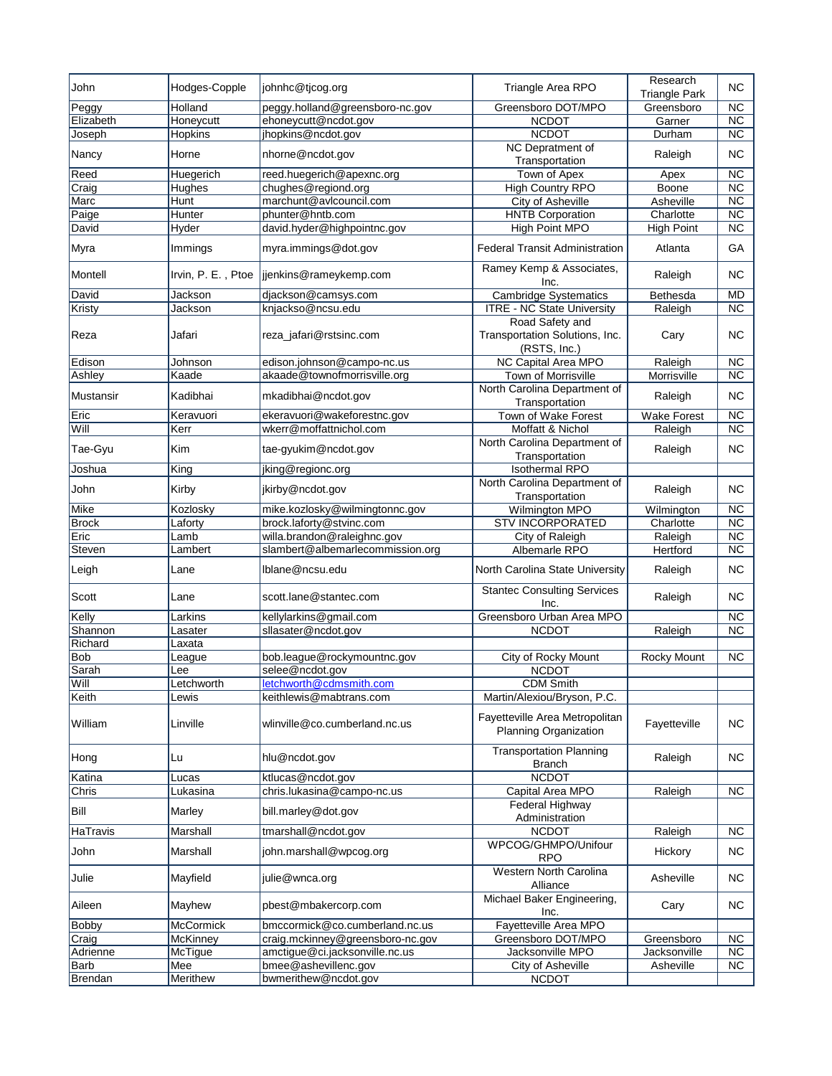| John         | Hodges-Copple      | johnhc@tjcog.org                 | Triangle Area RPO                                                 | Research<br><b>Triangle Park</b> | <b>NC</b>              |
|--------------|--------------------|----------------------------------|-------------------------------------------------------------------|----------------------------------|------------------------|
| Peggy        | Holland            | peggy.holland@greensboro-nc.gov  | Greensboro DOT/MPO                                                | Greensboro                       | <b>NC</b>              |
| Elizabeth    | Honeycutt          | ehoneycutt@ncdot.gov             | <b>NCDOT</b>                                                      | Garner                           | <b>NC</b>              |
| Joseph       | Hopkins            | jhopkins@ncdot.gov               | <b>NCDOT</b>                                                      | Durham                           | $\overline{\text{NC}}$ |
| Nancy        | Horne              | nhorne@ncdot.gov                 | NC Depratment of<br>Transportation                                | Raleigh                          | <b>NC</b>              |
| Reed         | Huegerich          | reed.huegerich@apexnc.org        | Town of Apex                                                      | Apex                             | $\overline{\text{NC}}$ |
| Craig        | Hughes             | chughes@regiond.org              | <b>High Country RPO</b>                                           | Boone                            | $\overline{\text{NC}}$ |
| Marc         | Hunt               | marchunt@avlcouncil.com          | <b>City of Asheville</b>                                          | Asheville                        | $\overline{\text{NC}}$ |
| Paige        | Hunter             | phunter@hntb.com                 | <b>HNTB Corporation</b>                                           | Charlotte                        | <b>NC</b>              |
| David        | Hyder              | david.hyder@highpointnc.gov      | <b>High Point MPO</b>                                             | <b>High Point</b>                | $\overline{\text{NC}}$ |
| Myra         | Immings            | myra.immings@dot.gov             | <b>Federal Transit Administration</b>                             | Atlanta                          | GA                     |
| Montell      | Irvin, P. E., Ptoe | jjenkins@rameykemp.com           | Ramey Kemp & Associates,<br>Inc.                                  | Raleigh                          | <b>NC</b>              |
| David        | Jackson            | diackson@camsys.com              | <b>Cambridge Systematics</b>                                      | Bethesda                         | <b>MD</b>              |
| Kristy       | Jackson            | knjackso@ncsu.edu                | <b>ITRE - NC State University</b>                                 | Raleigh                          | <b>NC</b>              |
| Reza         | Jafari             | reza_jafari@rstsinc.com          | Road Safety and<br>Transportation Solutions, Inc.<br>(RSTS, Inc.) | Cary                             | ΝC                     |
| Edison       | Johnson            | edison.johnson@campo-nc.us       | <b>NC Capital Area MPO</b>                                        | Raleigh                          | $\overline{\text{NC}}$ |
| Ashley       | Kaade              | akaade@townofmorrisville.org     | Town of Morrisville                                               | Morrisville                      | <b>NC</b>              |
| Mustansir    | Kadibhai           | mkadibhai@ncdot.gov              | North Carolina Department of<br>Transportation                    | Raleigh                          | <b>NC</b>              |
| Eric         | Keravuori          | ekeravuori@wakeforestnc.gov      | Town of Wake Forest                                               | <b>Wake Forest</b>               | <b>NC</b>              |
| Will         | Kerr               | wkerr@moffattnichol.com          | Moffatt & Nichol                                                  | Raleigh                          | $\overline{\text{NC}}$ |
| Tae-Gyu      | Kim                | tae-gyukim@ncdot.gov             | North Carolina Department of<br>Transportation                    | Raleigh                          | <b>NC</b>              |
| Joshua       | King               | jking@regionc.org                | <b>Isothermal RPO</b>                                             |                                  |                        |
| John         | Kirby              | jkirby@ncdot.gov                 | North Carolina Department of<br>Transportation                    | Raleigh                          | <b>NC</b>              |
| Mike         | Kozlosky           | mike.kozlosky@wilmingtonnc.gov   | <b>Wilmington MPO</b>                                             | Wilmington                       | <b>NC</b>              |
| <b>Brock</b> | Laforty            | brock.laforty@stvinc.com         | <b>STV INCORPORATED</b>                                           | Charlotte                        | <b>NC</b>              |
| Eric         | Lamb               | willa.brandon@raleighnc.gov      | City of Raleigh                                                   | Raleigh                          | $\overline{\text{NC}}$ |
| Steven       | Lambert            | slambert@albemarlecommission.org | Albemarle RPO                                                     | Hertford                         | $\overline{\text{NC}}$ |
| Leigh        | Lane               | lblane@ncsu.edu                  | North Carolina State University                                   | Raleigh                          | <b>NC</b>              |
| Scott        | Lane               | scott.lane@stantec.com           | <b>Stantec Consulting Services</b><br>Inc.                        | Raleigh                          | ΝC                     |
| Kelly        | Larkins            | kellylarkins@gmail.com           | Greensboro Urban Area MPO                                         |                                  | $\overline{\text{NC}}$ |
| Shannon      | Lasater            | sllasater@ncdot.gov              | <b>NCDOT</b>                                                      | Raleigh                          | <b>NC</b>              |
| Richard      | Laxata             |                                  |                                                                   |                                  |                        |
| Bob          | League             | bob.league@rockymountnc.gov      | City of Rocky Mount                                               | Rocky Mount                      | <b>NC</b>              |
| Sarah        | Lee                | selee@ncdot.gov                  | <b>NCDOT</b>                                                      |                                  |                        |
| Will         | Letchworth         | <u>ietchworth @camsmith.com</u>  | <b>CDM Smith</b>                                                  |                                  |                        |
| Keith        | Lewis              | keithlewis@mabtrans.com          | Martin/Alexiou/Bryson, P.C.                                       |                                  |                        |
| William      | Linville           | wlinville@co.cumberland.nc.us    | Fayetteville Area Metropolitan<br><b>Planning Organization</b>    | Fayetteville                     | <b>NC</b>              |
| Hong         | Lu                 | hlu@ncdot.gov                    | <b>Transportation Planning</b><br><b>Branch</b>                   | Raleigh                          | NC                     |
| Katina       | Lucas              | ktlucas@ncdot.gov                | <b>NCDOT</b>                                                      |                                  |                        |
| Chris        | Lukasina           | chris.lukasina@campo-nc.us       | Capital Area MPO                                                  | Raleigh                          | <b>NC</b>              |
| Bill         | Marley             | bill.marley@dot.gov              | Federal Highway<br>Administration                                 |                                  |                        |
| HaTravis     | Marshall           | tmarshall@ncdot.gov              | <b>NCDOT</b>                                                      | Raleigh                          | <b>NC</b>              |
| John         | Marshall           | john.marshall@wpcog.org          | WPCOG/GHMPO/Unifour<br><b>RPO</b>                                 | Hickory                          | <b>NC</b>              |
| Julie        | Mayfield           | julie@wnca.org                   | Western North Carolina<br>Alliance                                | Asheville                        | <b>NC</b>              |
| Aileen       | Mayhew             | pbest@mbakercorp.com             | Michael Baker Engineering,<br>Inc.                                | Cary                             | <b>NC</b>              |
| <b>Bobby</b> | <b>McCormick</b>   | bmccormick@co.cumberland.nc.us   | Fayetteville Area MPO                                             |                                  |                        |
| Craig        | McKinney           | craig.mckinney@greensboro-nc.gov | Greensboro DOT/MPO                                                | Greensboro                       | NC                     |
| Adrienne     | McTigue            | amctigue@ci.jacksonville.nc.us   | Jacksonville MPO                                                  | Jacksonville                     | <b>NC</b>              |
| Barb         | Mee                | bmee@ashevillenc.gov             | <b>City of Asheville</b>                                          | Asheville                        | <b>NC</b>              |
| Brendan      | Merithew           | bwmerithew@ncdot.gov             | <b>NCDOT</b>                                                      |                                  |                        |
|              |                    |                                  |                                                                   |                                  |                        |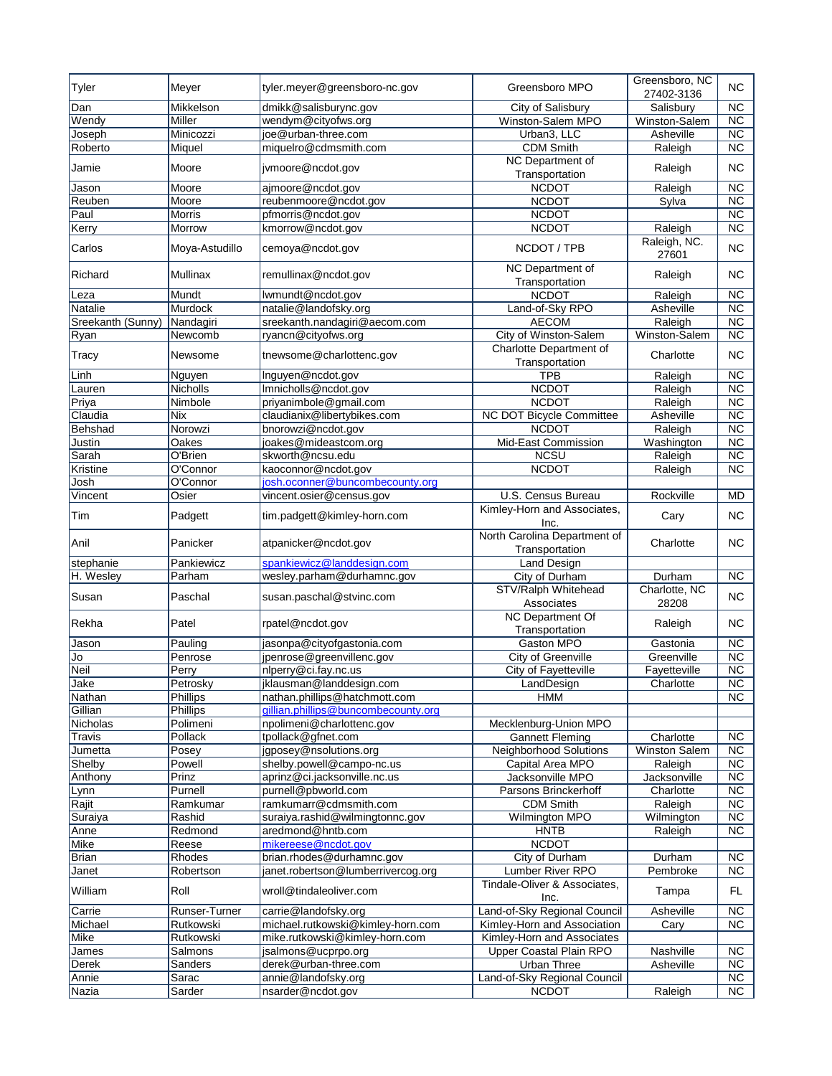| Tyler             | Meyer           | tyler.meyer@greensboro-nc.gov       | Greensboro MPO                                 | Greensboro, NC<br>27402-3136 | <b>NC</b>              |
|-------------------|-----------------|-------------------------------------|------------------------------------------------|------------------------------|------------------------|
| Dan               | Mikkelson       | dmikk@salisburync.gov               | City of Salisbury                              | Salisbury                    | <b>NC</b>              |
| Wendy             | Miller          | wendym@cityofws.org                 | Winston-Salem MPO                              | Winston-Salem                | <b>NC</b>              |
| Joseph            | Minicozzi       | joe@urban-three.com                 | Urban3, LLC                                    | Asheville                    | $\overline{NC}$        |
| Roberto           | Miquel          | miquelro@cdmsmith.com               | <b>CDM Smith</b>                               | Raleigh                      | $\overline{\text{NC}}$ |
| Jamie             | Moore           | jvmoore@ncdot.gov                   | NC Department of<br>Transportation             | Raleigh                      | <b>NC</b>              |
| Jason             | Moore           | ajmoore@ncdot.gov                   | <b>NCDOT</b>                                   | Raleigh                      | $\overline{\text{NC}}$ |
| Reuben            | Moore           | reubenmoore@ncdot.gov               | <b>NCDOT</b>                                   | Sylva                        | $\overline{\text{NC}}$ |
| Paul              | Morris          | pfmorris@ncdot.gov                  | <b>NCDOT</b>                                   |                              | $\overline{\text{NC}}$ |
| Kerry             | Morrow          | kmorrow@ncdot.gov                   | <b>NCDOT</b>                                   | Raleigh                      | $\overline{\text{NC}}$ |
| Carlos            | Moya-Astudillo  | cemoya@ncdot.gov                    | NCDOT / TPB                                    | Raleigh, NC.<br>27601        | <b>NC</b>              |
| Richard           | <b>Mullinax</b> | remullinax@ncdot.gov                | NC Department of<br>Transportation             | Raleigh                      | <b>NC</b>              |
| Leza              | Mundt           | lwmundt@ncdot.gov                   | <b>NCDOT</b>                                   | Raleigh                      | $\overline{\text{NC}}$ |
| Natalie           | Murdock         | natalie@landofsky.org               | Land-of-Sky RPO                                | Asheville                    | $\overline{\text{NC}}$ |
| Sreekanth (Sunny) | Nandagiri       | sreekanth.nandagiri@aecom.com       | <b>AECOM</b>                                   | Raleigh                      | $\overline{NC}$        |
|                   | Newcomb         |                                     | City of Winston-Salem                          | Winston-Salem                | <b>NC</b>              |
| Ryan              |                 | ryancn@cityofws.org                 |                                                |                              |                        |
| Tracy             | Newsome         | tnewsome@charlottenc.gov            | Charlotte Department of<br>Transportation      | Charlotte                    | <b>NC</b>              |
| Linh              | Nguyen          | Inguyen@ncdot.gov                   | <b>TPB</b>                                     | Raleigh                      | $\overline{NC}$        |
| Lauren            | <b>Nicholls</b> | Imnicholls@ncdot.gov                | <b>NCDOT</b>                                   | Raleigh                      | $\overline{\text{NC}}$ |
| Priya             | Nimbole         | priyanimbole@gmail.com              | <b>NCDOT</b>                                   | Raleigh                      | $\overline{\text{NC}}$ |
| Claudia           | Nix             | claudianix@libertybikes.com         | <b>NC DOT Bicycle Committee</b>                | Asheville                    | $\overline{NC}$        |
| Behshad           | Norowzi         | bnorowzi@ncdot.gov                  | <b>NCDOT</b>                                   | Raleigh                      | <b>NC</b>              |
| Justin            | Oakes           | joakes@mideastcom.org               | Mid-East Commission                            | Washington                   | $\overline{\text{NC}}$ |
| Sarah             | O'Brien         | skworth@ncsu.edu                    | <b>NCSU</b>                                    | Raleigh                      | $\overline{\text{NC}}$ |
| Kristine          | O'Connor        | kaoconnor@ncdot.gov                 | <b>NCDOT</b>                                   | Raleigh                      | $\overline{\text{NC}}$ |
| Josh              | O'Connor        | josh.oconner@buncombecounty.org     |                                                |                              |                        |
| Vincent           | Osier           | vincent.osier@census.gov            | U.S. Census Bureau                             | Rockville                    | <b>MD</b>              |
| Tim               | Padgett         | tim.padgett@kimley-horn.com         | Kimley-Horn and Associates,<br>Inc.            | Cary                         | <b>NC</b>              |
| Anil              | Panicker        | atpanicker@ncdot.gov                | North Carolina Department of<br>Transportation | Charlotte                    | <b>NC</b>              |
| stephanie         | Pankiewicz      | spankiewicz@landdesign.com          | Land Design                                    |                              |                        |
| H. Wesley         | Parham          | wesley.parham@durhamnc.gov          | City of Durham                                 | Durham                       | $\overline{\text{NC}}$ |
| Susan             | Paschal         | susan.paschal@stvinc.com            | STV/Ralph Whitehead<br>Associates              | Charlotte, NC<br>28208       | <b>NC</b>              |
| Rekha             | Patel           | rpatel@ncdot.gov                    | <b>NC Department Of</b><br>Transportation      | Raleigh                      | <b>NC</b>              |
| Jason             | Pauling         | jasonpa@cityofgastonia.com          | Gaston MPO                                     | Gastonia                     | $\overline{\text{NC}}$ |
| Jo                | Penrose         | jpenrose@greenvillenc.gov           | City of Greenville                             | Greenville                   | $\overline{\text{NC}}$ |
| <b>Neil</b>       | Perry           | nlperry@ci.fay.nc.us                | City of Fayetteville                           | Fayetteville                 | $\overline{\text{NC}}$ |
| Jake              | Petrosky        | jklausman@landdesign.com            | ∟andDesign                                     | Charlotte                    | $\overline{NC}$        |
| Nathan            | Phillips        | nathan.phillips@hatchmott.com       | <b>HMM</b>                                     |                              | $\overline{\text{NC}}$ |
| Gillian           | Phillips        | gillian.phillips@buncombecounty.org |                                                |                              |                        |
| Nicholas          | Polimeni        | npolimeni@charlottenc.gov           | Mecklenburg-Union MPO                          |                              |                        |
| Travis            | Pollack         | tpollack@gfnet.com                  | <b>Gannett Fleming</b>                         | Charlotte                    | NC                     |
| Jumetta           | Posey           | jgposey@nsolutions.org              | Neighborhood Solutions                         | <b>Winston Salem</b>         | <b>NC</b>              |
| Shelby            | Powell          | shelby.powell@campo-nc.us           | Capital Area MPO                               | Raleigh                      | $\overline{\text{NC}}$ |
| Anthony           | Prinz           | aprinz@ci.jacksonville.nc.us        | Jacksonville MPO                               | Jacksonville                 | <b>NC</b>              |
| Lynn              | Purnell         | purnell@pbworld.com                 | Parsons Brinckerhoff                           | Charlotte                    | $\overline{\text{NC}}$ |
| Rajit             | Ramkumar        | ramkumarr@cdmsmith.com              | <b>CDM Smith</b>                               | Raleigh                      | $\overline{\text{NC}}$ |
| Suraiya           | Rashid          | suraiya.rashid@wilmingtonnc.gov     | Wilmington MPO                                 | Wilmington                   | <b>NC</b>              |
| Anne              | Redmond         | aredmond@hntb.com                   | <b>HNTB</b>                                    | Raleigh                      | NC                     |
| Mike              | Reese           | mikereese@ncdot.gov                 | <b>NCDOT</b>                                   |                              |                        |
| <b>Brian</b>      | Rhodes          | brian.rhodes@durhamnc.gov           | City of Durham                                 | Durham                       | <b>NC</b>              |
| Janet             | Robertson       | janet.robertson@lumberrivercog.org  | Lumber River RPO                               | Pembroke                     | <b>NC</b>              |
| William           | Roll            | wroll@tindaleoliver.com             | Tindale-Oliver & Associates,                   | Tampa                        | FL.                    |
|                   |                 |                                     | Inc.                                           |                              |                        |
| Carrie            | Runser-Turner   | carrie@landofsky.org                | Land-of-Sky Regional Council                   | Asheville                    | $\overline{\text{NC}}$ |
| Michael           | Rutkowski       | michael.rutkowski@kimley-horn.com   | Kimley-Horn and Association                    | Cary                         | NC                     |
| Mike              | Rutkowski       | mike.rutkowski@kimley-horn.com      | Kimley-Horn and Associates                     |                              |                        |
| James             | Salmons         | jsalmons@ucprpo.org                 | Upper Coastal Plain RPO                        | Nashville                    | <b>NC</b>              |
| Derek             | Sanders         | derek@urban-three.com               | Urban Three                                    | Asheville                    | <b>NC</b>              |
| Annie             | Sarac           | annie@landofsky.org                 | Land-of-Sky Regional Council                   |                              | ${\sf NC}$             |
| Nazia             | Sarder          | nsarder@ncdot.gov                   | <b>NCDOT</b>                                   | Raleigh                      | $\overline{\text{NC}}$ |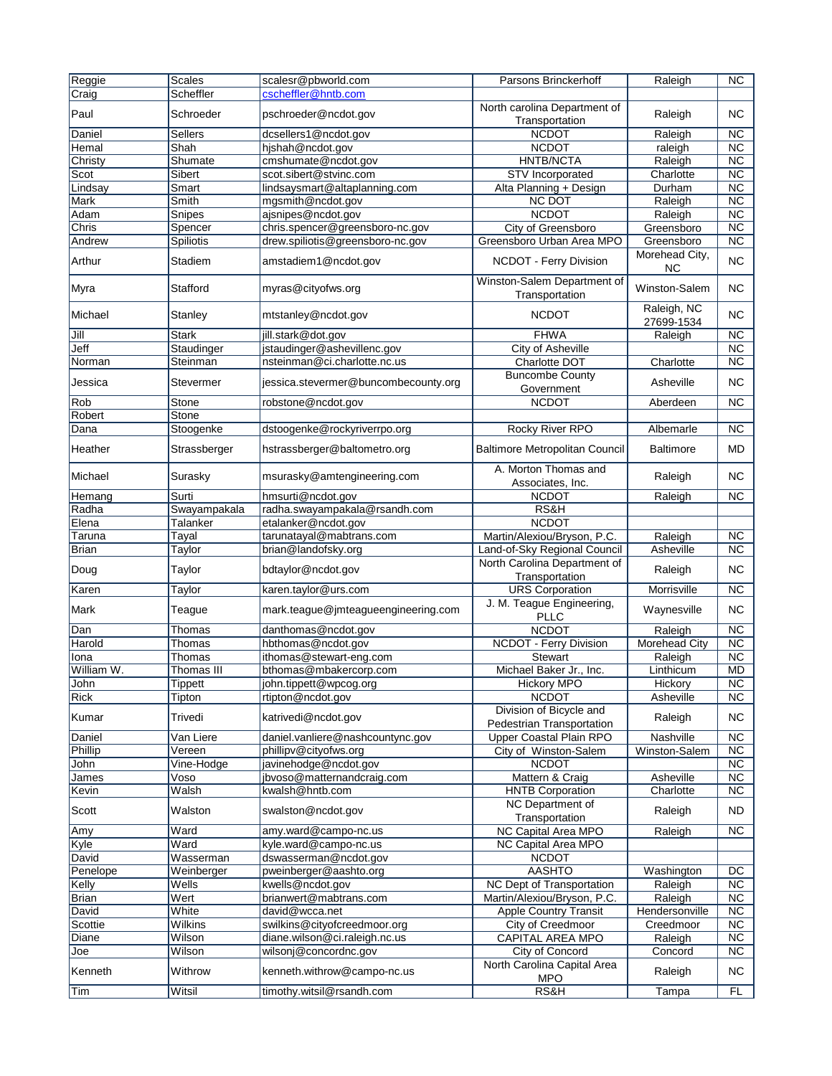| Reggie         | <b>Scales</b>     | scalesr@pbworld.com                                      | Parsons Brinckerhoff                           | Raleigh                   | <b>NC</b>              |
|----------------|-------------------|----------------------------------------------------------|------------------------------------------------|---------------------------|------------------------|
| Craig          | Scheffler         | cscheffler@hntb.com                                      |                                                |                           |                        |
|                |                   |                                                          | North carolina Department of                   |                           |                        |
| Paul           | Schroeder         | pschroeder@ncdot.gov                                     | Transportation                                 | Raleigh                   | <b>NC</b>              |
| Daniel         | <b>Sellers</b>    | dcsellers1@ncdot.gov                                     | <b>NCDOT</b>                                   | Raleigh                   | <b>NC</b>              |
| Hemal          | Shah              | hishah@ncdot.gov                                         | <b>NCDOT</b>                                   | raleigh                   | $\overline{\text{NC}}$ |
| Christy        | Shumate           | cmshumate@ncdot.gov                                      | <b>HNTB/NCTA</b>                               | Raleigh                   | $\overline{\text{NC}}$ |
| Scot           | Sibert            | scot.sibert@stvinc.com                                   | <b>STV</b> Incorporated                        | Charlotte                 | <b>NC</b>              |
| Lindsay        | Smart             | lindsaysmart@altaplanning.com                            | Alta Planning + Design                         | Durham                    | <b>NC</b>              |
| Mark           | Smith             | mgsmith@ncdot.gov                                        | <b>NC DOT</b>                                  | Raleigh                   | $\overline{\text{NC}}$ |
| Adam           | Snipes            | ajsnipes@ncdot.gov                                       | <b>NCDOT</b>                                   | Raleigh                   | $\overline{\text{NC}}$ |
| Chris          | Spencer           | chris.spencer@greensboro-nc.gov                          | City of Greensboro                             | Greensboro                | $\overline{\text{NC}}$ |
| Andrew         | <b>Spiliotis</b>  | drew.spiliotis@greensboro-nc.gov                         | Greensboro Urban Area MPO                      | Greensboro                | $\overline{\text{NC}}$ |
| Arthur         | Stadiem           | amstadiem1@ncdot.gov                                     | NCDOT - Ferry Division                         | Morehead City,<br>ΝC      | <b>NC</b>              |
| Myra           | Stafford          | myras@cityofws.org                                       | Winston-Salem Department of<br>Transportation  | Winston-Salem             | <b>NC</b>              |
| Michael        | Stanley           | mtstanley@ncdot.gov                                      | <b>NCDOT</b>                                   | Raleigh, NC<br>27699-1534 | <b>NC</b>              |
| Jill           | <b>Stark</b>      | jill.stark@dot.gov                                       | <b>FHWA</b>                                    | Raleigh                   | <b>NC</b>              |
| Jeff           | Staudinger        | jstaudinger@ashevillenc.gov                              | City of Asheville                              |                           | $\overline{\text{NC}}$ |
| Norman         | Steinman          | nsteinman@ci.charlotte.nc.us                             | Charlotte DOT                                  | Charlotte                 | $\overline{\text{NC}}$ |
| Jessica        | Stevermer         | jessica.stevermer@buncombecounty.org                     | <b>Buncombe County</b><br>Government           | Asheville                 | <b>NC</b>              |
| <b>Rob</b>     | Stone             | robstone@ncdot.gov                                       | <b>NCDOT</b>                                   | Aberdeen                  | $\overline{\text{NC}}$ |
| Robert         | Stone             |                                                          |                                                |                           |                        |
| Dana           | Stoogenke         | dstoogenke@rockyriverrpo.org                             | <b>Rocky River RPO</b>                         | Albemarle                 | <b>NC</b>              |
| Heather        | Strassberger      | hstrassberger@baltometro.org                             | <b>Baltimore Metropolitan Council</b>          | <b>Baltimore</b>          | MD                     |
| Michael        | Surasky           | msurasky@amtengineering.com                              | A. Morton Thomas and<br>Associates, Inc.       | Raleigh                   | <b>NC</b>              |
| Hemang         | Surti             | hmsurti@ncdot.gov                                        | <b>NCDOT</b>                                   | Raleigh                   | <b>NC</b>              |
| Radha          | Swayampakala      | radha.swayampakala@rsandh.com                            | RS&H                                           |                           |                        |
| Elena          | Talanker          | etalanker@ncdot.gov                                      | <b>NCDOT</b>                                   |                           |                        |
| Taruna         | <u>Tayal</u>      | tarunatayal@mabtrans.com                                 | Martin/Alexiou/Bryson, P.C.                    | Raleigh                   | <b>NC</b>              |
| <b>Brian</b>   | Taylor            | brian@landofsky.org                                      | Land-of-Sky Regional Council                   | Asheville                 | <b>NC</b>              |
| Doug           | Taylor            | bdtaylor@ncdot.gov                                       | North Carolina Department of<br>Transportation | Raleigh                   | <b>NC</b>              |
| Karen          | Taylor            | karen.taylor@urs.com                                     | <b>URS</b> Corporation                         | Morrisville               | <b>NC</b>              |
| Mark           | Teague            | mark.teague@jmteagueengineering.com                      | J. M. Teague Engineering,<br><b>PLLC</b>       | Waynesville               | <b>NC</b>              |
| Dan            | Thomas            | danthomas@ncdot.gov                                      | <b>NCDOT</b>                                   | Raleigh                   | $\overline{\text{NC}}$ |
| Harold         | Thomas            | hbthomas@ncdot.gov                                       | <b>NCDOT - Ferry Division</b>                  | Morehead City             | <b>NC</b>              |
| lona           | Thomas            | ithomas@stewart-eng.com                                  | Stewart                                        | Raleigh                   | <b>NC</b>              |
| William W.     | Thomas III        | bthomas@mbakercorp.com                                   | Michael Baker Jr., Inc.                        | Linthicum                 | <b>MD</b>              |
| John           | <b>Lippett</b>    | john.tippett@wpcog.org                                   | <b>Hickory MPO</b>                             | <b>HICKOTY</b>            | $\overline{\text{NC}}$ |
| <b>Rick</b>    | Tipton            | rtipton@ncdot.gov                                        | <b>NCDOT</b>                                   | Asheville                 | <b>NC</b>              |
|                |                   |                                                          | Division of Bicycle and                        |                           |                        |
| Kumar          | Trivedi           | katrivedi@ncdot.gov                                      | Pedestrian Transportation                      | Raleigh                   | <b>NC</b>              |
| Daniel         | Van Liere         | daniel.vanliere@nashcountync.gov                         | Upper Coastal Plain RPO                        | Nashville                 | $\overline{\text{NC}}$ |
| Phillip        | Vereen            | phillipy@cityofws.org                                    | City of Winston-Salem                          | Winston-Salem             | NC                     |
| John           | Vine-Hodge        | javinehodge@ncdot.gov                                    | <b>NCDOT</b>                                   |                           | $\overline{\text{NC}}$ |
| James          | Voso              | jbvoso@matternandcraig.com                               | Mattern & Craig                                | Asheville                 | $\overline{\text{NC}}$ |
| Kevin          | Walsh             | kwalsh@hntb.com                                          | <b>HNTB Corporation</b>                        | Charlotte                 | <b>NC</b>              |
| Scott          | Walston           | swalston@ncdot.gov                                       | NC Department of<br>Transportation             | Raleigh                   | <b>ND</b>              |
| Amy            | Ward              | amy.ward@campo-nc.us                                     | NC Capital Area MPO                            | Raleigh                   | <b>NC</b>              |
| Kyle           | Ward              | kyle.ward@campo-nc.us                                    | NC Capital Area MPO                            |                           |                        |
| David          | Wasserman         | dswasserman@ncdot.gov                                    | <b>NCDOT</b>                                   |                           |                        |
| Penelope       | Weinberger        | pweinberger@aashto.org                                   | <b>AASHTO</b>                                  | Washington                | DC                     |
| Kelly          | Wells             | kwells@ncdot.gov                                         | NC Dept of Transportation                      | Raleigh                   | <b>NC</b>              |
| <b>Brian</b>   | Wert              | brianwert@mabtrans.com                                   | Martin/Alexiou/Bryson, P.C.                    | Raleigh                   | <b>NC</b>              |
| David          | White             | david@wcca.net                                           | Apple Country Transit                          | Hendersonville            | <b>NC</b>              |
| Scottie        | Wilkins           | swilkins@cityofcreedmoor.org                             | City of Creedmoor                              | Creedmoor                 | $\overline{\text{NC}}$ |
| Diane          | Wilson            | diane.wilson@ci.raleigh.nc.us                            | CAPITAL AREA MPO                               | Raleigh                   | <b>NC</b>              |
| Joe            | Wilson            | wilsonj@concordnc.gov                                    | City of Concord                                | Concord                   | $\overline{\text{NC}}$ |
|                |                   |                                                          | North Carolina Capital Area                    |                           |                        |
| Kenneth<br>Tim | Withrow<br>Witsil | kenneth.withrow@campo-nc.us<br>timothy.witsil@rsandh.com | <b>MPO</b><br>RS&H                             | Raleigh<br>Tampa          | <b>NC</b><br>FL        |
|                |                   |                                                          |                                                |                           |                        |